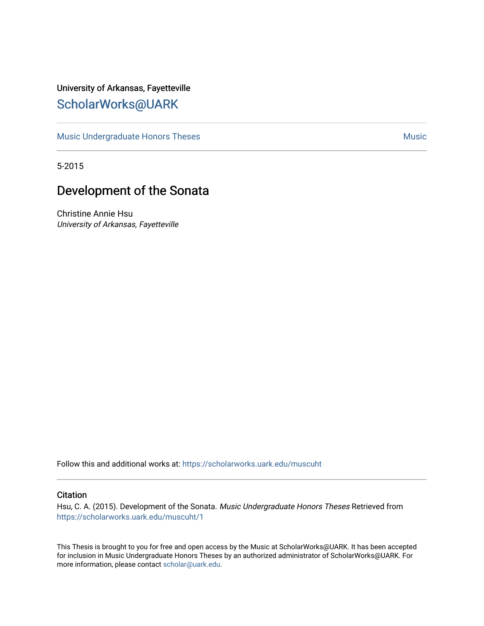## University of Arkansas, Fayetteville [ScholarWorks@UARK](https://scholarworks.uark.edu/)

[Music Undergraduate Honors Theses](https://scholarworks.uark.edu/muscuht) [Music](https://scholarworks.uark.edu/musc) Contract and American Music Music Music Music

5-2015

## Development of the Sonata

Christine Annie Hsu University of Arkansas, Fayetteville

Follow this and additional works at: [https://scholarworks.uark.edu/muscuht](https://scholarworks.uark.edu/muscuht?utm_source=scholarworks.uark.edu%2Fmuscuht%2F1&utm_medium=PDF&utm_campaign=PDFCoverPages)

#### **Citation**

Hsu, C. A. (2015). Development of the Sonata. Music Undergraduate Honors Theses Retrieved from [https://scholarworks.uark.edu/muscuht/1](https://scholarworks.uark.edu/muscuht/1?utm_source=scholarworks.uark.edu%2Fmuscuht%2F1&utm_medium=PDF&utm_campaign=PDFCoverPages) 

This Thesis is brought to you for free and open access by the Music at ScholarWorks@UARK. It has been accepted for inclusion in Music Undergraduate Honors Theses by an authorized administrator of ScholarWorks@UARK. For more information, please contact [scholar@uark.edu.](mailto:scholar@uark.edu)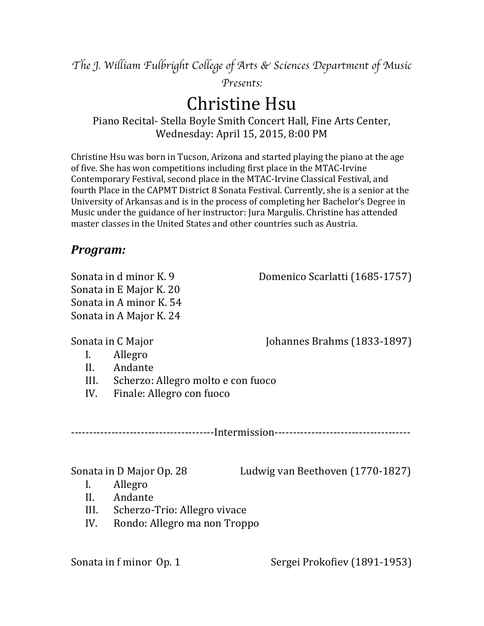*The J. William Fulbright College of Arts & Sciences Department of Music* 

*Presents:*

# **Christine Hsu**

Piano Recital- Stella Boyle Smith Concert Hall, Fine Arts Center, Wednesday: April 15, 2015, 8:00 PM

Christine Hsu was born in Tucson, Arizona and started playing the piano at the age of five. She has won competitions including first place in the MTAC-Irvine Contemporary Festival, second place in the MTAC-Irvine Classical Festival, and fourth Place in the CAPMT District 8 Sonata Festival. Currently, she is a senior at the University of Arkansas and is in the process of completing her Bachelor's Degree in Music under the guidance of her instructor: Jura Margulis. Christine has attended master classes in the United States and other countries such as Austria.

## *Program:*

Sonata in E Major K. 20 Sonata in A minor  $K. 54$ Sonata in A Major K. 24

Sonata in d minor K. 9 Domenico Scarlatti (1685-1757)

Sonata in C Major *Mexicon* **Limitary** *C* Major **C** Mexicon **I** Johannes Brahms (1833-1897)

## I. Allegro

- II. Andante
- III. Scherzo: Allegro molto e con fuoco
- IV. Finale: Allegro con fuoco

---------------------------------------Intermission-------------------------------------

Sonata in D Major Op. 28 Ludwig van Beethoven (1770-1827)

- I. Allegro
- II. Andante
- III. Scherzo-Trio: Allegro vivace
- IV. Rondo: Allegro ma non Troppo

Sonata in f minor Op. 1 Sergei Prokofiev (1891-1953)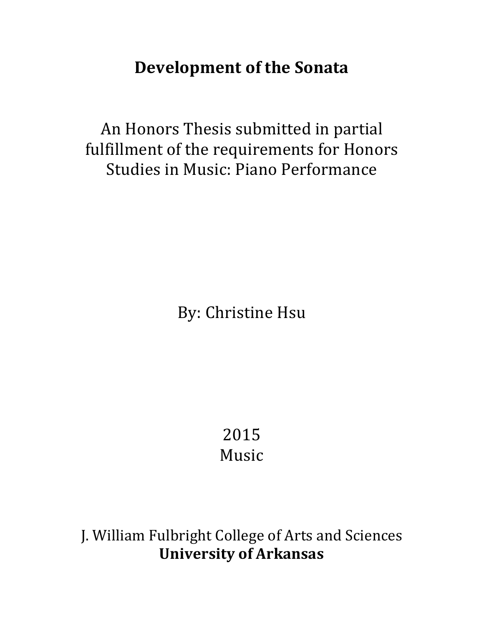# **Development of the Sonata**

An Honors Thesis submitted in partial fulfillment of the requirements for Honors Studies in Music: Piano Performance

By: Christine Hsu

2015 Music

J. William Fulbright College of Arts and Sciences **University of Arkansas**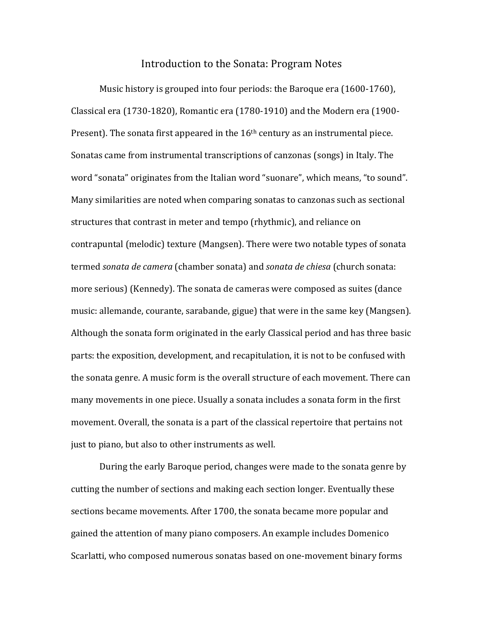#### Introduction to the Sonata: Program Notes

Music history is grouped into four periods: the Baroque era (1600-1760), Classical era (1730-1820), Romantic era (1780-1910) and the Modern era (1900-Present). The sonata first appeared in the  $16<sup>th</sup>$  century as an instrumental piece. Sonatas came from instrumental transcriptions of canzonas (songs) in Italy. The word "sonata" originates from the Italian word "suonare", which means, "to sound". Many similarities are noted when comparing sonatas to canzonas such as sectional structures that contrast in meter and tempo (rhythmic), and reliance on contrapuntal (melodic) texture (Mangsen). There were two notable types of sonata termed *sonata de camera* (chamber sonata) and *sonata de chiesa* (church sonata: more serious) (Kennedy). The sonata de cameras were composed as suites (dance music: allemande, courante, sarabande, gigue) that were in the same key (Mangsen). Although the sonata form originated in the early Classical period and has three basic parts: the exposition, development, and recapitulation, it is not to be confused with the sonata genre. A music form is the overall structure of each movement. There can many movements in one piece. Usually a sonata includes a sonata form in the first movement. Overall, the sonata is a part of the classical repertoire that pertains not just to piano, but also to other instruments as well.

During the early Baroque period, changes were made to the sonata genre by cutting the number of sections and making each section longer. Eventually these sections became movements. After 1700, the sonata became more popular and gained the attention of many piano composers. An example includes Domenico Scarlatti, who composed numerous sonatas based on one-movement binary forms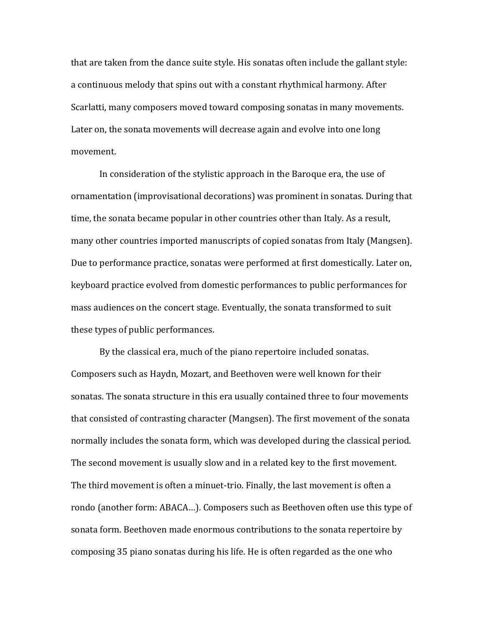that are taken from the dance suite style. His sonatas often include the gallant style: a continuous melody that spins out with a constant rhythmical harmony. After Scarlatti, many composers moved toward composing sonatas in many movements. Later on, the sonata movements will decrease again and evolve into one long movement.

In consideration of the stylistic approach in the Baroque era, the use of ornamentation (improvisational decorations) was prominent in sonatas. During that time, the sonata became popular in other countries other than Italy. As a result, many other countries imported manuscripts of copied sonatas from Italy (Mangsen). Due to performance practice, sonatas were performed at first domestically. Later on, keyboard practice evolved from domestic performances to public performances for mass audiences on the concert stage. Eventually, the sonata transformed to suit these types of public performances.

By the classical era, much of the piano repertoire included sonatas. Composers such as Haydn, Mozart, and Beethoven were well known for their sonatas. The sonata structure in this era usually contained three to four movements that consisted of contrasting character (Mangsen). The first movement of the sonata normally includes the sonata form, which was developed during the classical period. The second movement is usually slow and in a related key to the first movement. The third movement is often a minuet-trio. Finally, the last movement is often a rondo (another form: ABACA...). Composers such as Beethoven often use this type of sonata form. Beethoven made enormous contributions to the sonata repertoire by composing 35 piano sonatas during his life. He is often regarded as the one who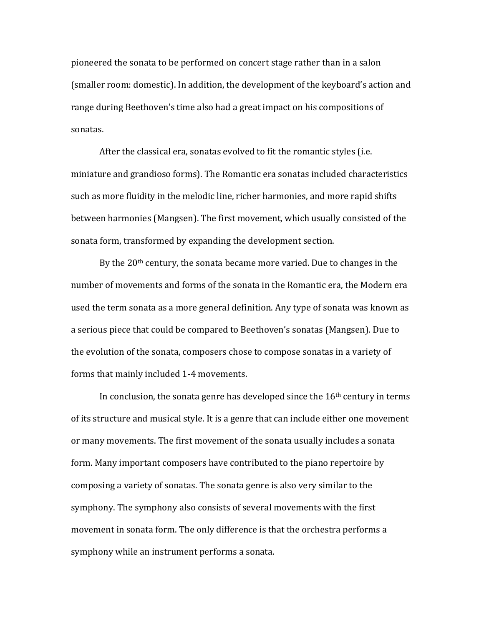pioneered the sonata to be performed on concert stage rather than in a salon (smaller room: domestic). In addition, the development of the keyboard's action and range during Beethoven's time also had a great impact on his compositions of sonatas. 

After the classical era, sonatas evolved to fit the romantic styles (i.e. miniature and grandioso forms). The Romantic era sonatas included characteristics such as more fluidity in the melodic line, richer harmonies, and more rapid shifts between harmonies (Mangsen). The first movement, which usually consisted of the sonata form, transformed by expanding the development section.

By the  $20<sup>th</sup>$  century, the sonata became more varied. Due to changes in the number of movements and forms of the sonata in the Romantic era, the Modern era used the term sonata as a more general definition. Any type of sonata was known as a serious piece that could be compared to Beethoven's sonatas (Mangsen). Due to the evolution of the sonata, composers chose to compose sonatas in a variety of forms that mainly included 1-4 movements.

In conclusion, the sonata genre has developed since the  $16<sup>th</sup>$  century in terms of its structure and musical style. It is a genre that can include either one movement or many movements. The first movement of the sonata usually includes a sonata form. Many important composers have contributed to the piano repertoire by composing a variety of sonatas. The sonata genre is also very similar to the symphony. The symphony also consists of several movements with the first movement in sonata form. The only difference is that the orchestra performs a symphony while an instrument performs a sonata.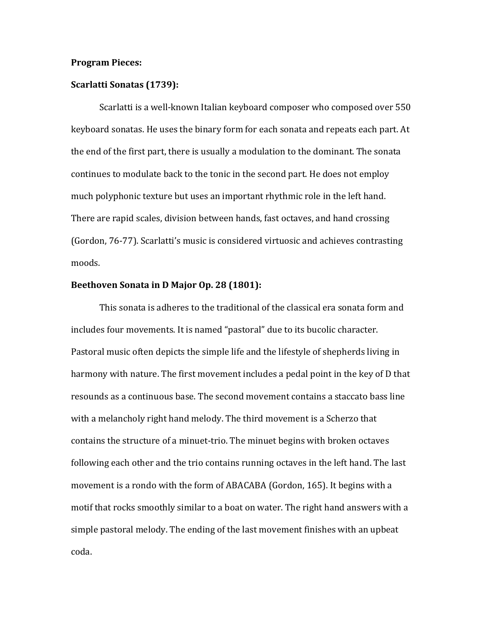#### **Program Pieces:**

#### **Scarlatti Sonatas** (1739):

Scarlatti is a well-known Italian keyboard composer who composed over 550 keyboard sonatas. He uses the binary form for each sonata and repeats each part. At the end of the first part, there is usually a modulation to the dominant. The sonata continues to modulate back to the tonic in the second part. He does not employ much polyphonic texture but uses an important rhythmic role in the left hand. There are rapid scales, division between hands, fast octaves, and hand crossing (Gordon, 76-77). Scarlatti's music is considered virtuosic and achieves contrasting moods.

#### **Beethoven Sonata in D Major Op. 28 (1801):**

This sonata is adheres to the traditional of the classical era sonata form and includes four movements. It is named "pastoral" due to its bucolic character. Pastoral music often depicts the simple life and the lifestyle of shepherds living in harmony with nature. The first movement includes a pedal point in the key of D that resounds as a continuous base. The second movement contains a staccato bass line with a melancholy right hand melody. The third movement is a Scherzo that contains the structure of a minuet-trio. The minuet begins with broken octaves following each other and the trio contains running octaves in the left hand. The last movement is a rondo with the form of ABACABA (Gordon, 165). It begins with a motif that rocks smoothly similar to a boat on water. The right hand answers with a simple pastoral melody. The ending of the last movement finishes with an upbeat coda.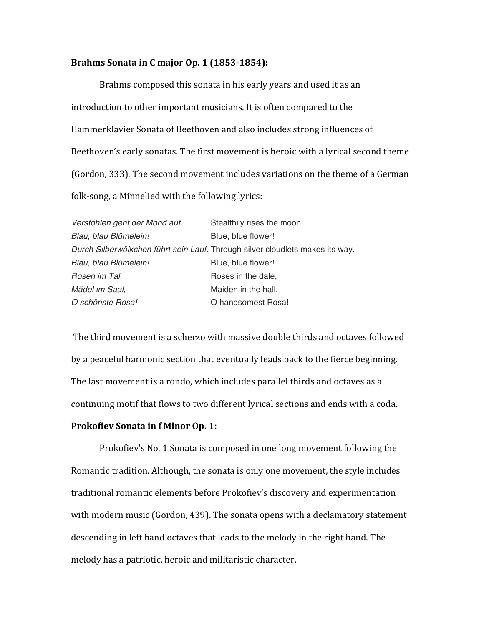#### **Brahms Sonata in C major Op. 1 (1853-1854):**

Brahms composed this sonata in his early years and used it as an introduction to other important musicians. It is often compared to the Hammerklavier Sonata of Beethoven and also includes strong influences of Beethoven's early sonatas. The first movement is heroic with a lyrical second theme (Gordon, 333). The second movement includes variations on the theme of a German folk-song, a Minnelied with the following lyrics:

| Verstohlen geht der Mond auf. | Stealthily rises the moon.                                                    |
|-------------------------------|-------------------------------------------------------------------------------|
| Blau, blau Blümelein!         | Blue, blue flower!                                                            |
|                               | Durch Silberwölkchen führt sein Lauf. Through silver cloudlets makes its way. |
| Blau, blau Blümelein!         | Blue, blue flower!                                                            |
| Rosen im Tal,                 | Roses in the dale,                                                            |
| Mädel im Saal,                | Maiden in the hall,                                                           |
| O schönste Rosa!              | O handsomest Rosa!                                                            |

The third movement is a scherzo with massive double thirds and octaves followed by a peaceful harmonic section that eventually leads back to the fierce beginning. The last movement is a rondo, which includes parallel thirds and octaves as a continuing motif that flows to two different lyrical sections and ends with a coda.

### **Prokofiev Sonata in f Minor Op. 1:**

Prokofiev's No. 1 Sonata is composed in one long movement following the Romantic tradition. Although, the sonata is only one movement, the style includes traditional romantic elements before Prokofiev's discovery and experimentation with modern music (Gordon, 439). The sonata opens with a declamatory statement descending in left hand octaves that leads to the melody in the right hand. The melody has a patriotic, heroic and militaristic character.